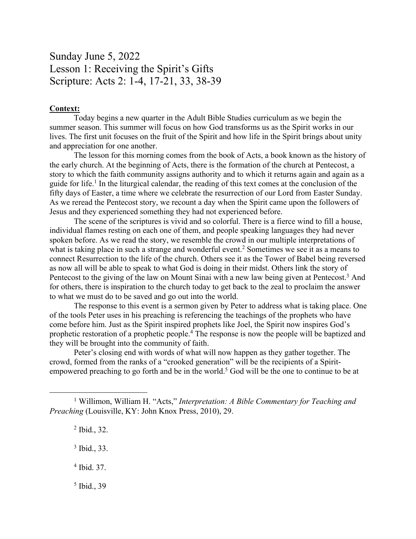## Sunday June 5, 2022 Lesson 1: Receiving the Spirit's Gifts Scripture: Acts 2: 1-4, 17-21, 33, 38-39

## **Context:**

Today begins a new quarter in the Adult Bible Studies curriculum as we begin the summer season. This summer will focus on how God transforms us as the Spirit works in our lives. The first unit focuses on the fruit of the Spirit and how life in the Spirit brings about unity and appreciation for one another.

The lesson for this morning comes from the book of Acts, a book known as the history of the early church. At the beginning of Acts, there is the formation of the church at Pentecost, a story to which the faith community assigns authority and to which it returns again and again as a guide for life.<sup>1</sup> In the liturgical calendar, the reading of this text comes at the conclusion of the fifty days of Easter, a time where we celebrate the resurrection of our Lord from Easter Sunday. As we reread the Pentecost story, we recount a day when the Spirit came upon the followers of Jesus and they experienced something they had not experienced before.

The scene of the scriptures is vivid and so colorful. There is a fierce wind to fill a house, individual flames resting on each one of them, and people speaking languages they had never spoken before. As we read the story, we resemble the crowd in our multiple interpretations of what is taking place in such a strange and wonderful event.<sup>2</sup> Sometimes we see it as a means to connect Resurrection to the life of the church. Others see it as the Tower of Babel being reversed as now all will be able to speak to what God is doing in their midst. Others link the story of Pentecost to the giving of the law on Mount Sinai with a new law being given at Pentecost.<sup>3</sup> And for others, there is inspiration to the church today to get back to the zeal to proclaim the answer to what we must do to be saved and go out into the world.

The response to this event is a sermon given by Peter to address what is taking place. One of the tools Peter uses in his preaching is referencing the teachings of the prophets who have come before him. Just as the Spirit inspired prophets like Joel, the Spirit now inspires God's prophetic restoration of a prophetic people.4 The response is now the people will be baptized and they will be brought into the community of faith.

Peter's closing end with words of what will now happen as they gather together. The crowd, formed from the ranks of a "crooked generation" will be the recipients of a Spiritempowered preaching to go forth and be in the world.<sup>5</sup> God will be the one to continue to be at

- <sup>2</sup> Ibid., 32.
- <sup>3</sup> Ibid., 33.
- <sup>4</sup> Ibid. 37.
- <sup>5</sup> Ibid., 39

<sup>1</sup> Willimon, William H. "Acts," *Interpretation: A Bible Commentary for Teaching and Preaching* (Louisville, KY: John Knox Press, 2010), 29.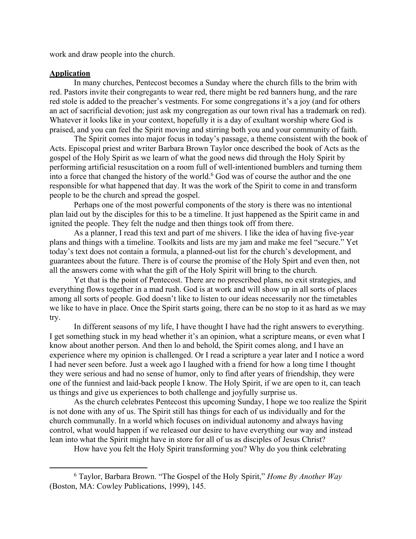work and draw people into the church.

## **Application**

In many churches, Pentecost becomes a Sunday where the church fills to the brim with red. Pastors invite their congregants to wear red, there might be red banners hung, and the rare red stole is added to the preacher's vestments. For some congregations it's a joy (and for others an act of sacrificial devotion; just ask my congregation as our town rival has a trademark on red). Whatever it looks like in your context, hopefully it is a day of exultant worship where God is praised, and you can feel the Spirit moving and stirring both you and your community of faith.

The Spirit comes into major focus in today's passage, a theme consistent with the book of Acts. Episcopal priest and writer Barbara Brown Taylor once described the book of Acts as the gospel of the Holy Spirit as we learn of what the good news did through the Holy Spirit by performing artificial resuscitation on a room full of well-intentioned bumblers and turning them into a force that changed the history of the world.<sup>6</sup> God was of course the author and the one responsible for what happened that day. It was the work of the Spirit to come in and transform people to be the church and spread the gospel.

Perhaps one of the most powerful components of the story is there was no intentional plan laid out by the disciples for this to be a timeline. It just happened as the Spirit came in and ignited the people. They felt the nudge and then things took off from there.

As a planner, I read this text and part of me shivers. I like the idea of having five-year plans and things with a timeline. Toolkits and lists are my jam and make me feel "secure." Yet today's text does not contain a formula, a planned-out list for the church's development, and guarantees about the future. There is of course the promise of the Holy Spirt and even then, not all the answers come with what the gift of the Holy Spirit will bring to the church.

Yet that is the point of Pentecost. There are no prescribed plans, no exit strategies, and everything flows together in a mad rush. God is at work and will show up in all sorts of places among all sorts of people. God doesn't like to listen to our ideas necessarily nor the timetables we like to have in place. Once the Spirit starts going, there can be no stop to it as hard as we may try.

In different seasons of my life, I have thought I have had the right answers to everything. I get something stuck in my head whether it's an opinion, what a scripture means, or even what I know about another person. And then lo and behold, the Spirit comes along, and I have an experience where my opinion is challenged. Or I read a scripture a year later and I notice a word I had never seen before. Just a week ago I laughed with a friend for how a long time I thought they were serious and had no sense of humor, only to find after years of friendship, they were one of the funniest and laid-back people I know. The Holy Spirit, if we are open to it, can teach us things and give us experiences to both challenge and joyfully surprise us.

As the church celebrates Pentecost this upcoming Sunday, I hope we too realize the Spirit is not done with any of us. The Spirit still has things for each of us individually and for the church communally. In a world which focuses on individual autonomy and always having control, what would happen if we released our desire to have everything our way and instead lean into what the Spirit might have in store for all of us as disciples of Jesus Christ?

How have you felt the Holy Spirit transforming you? Why do you think celebrating

<sup>6</sup> Taylor, Barbara Brown. "The Gospel of the Holy Spirit," *Home By Another Way* (Boston, MA: Cowley Publications, 1999), 145.